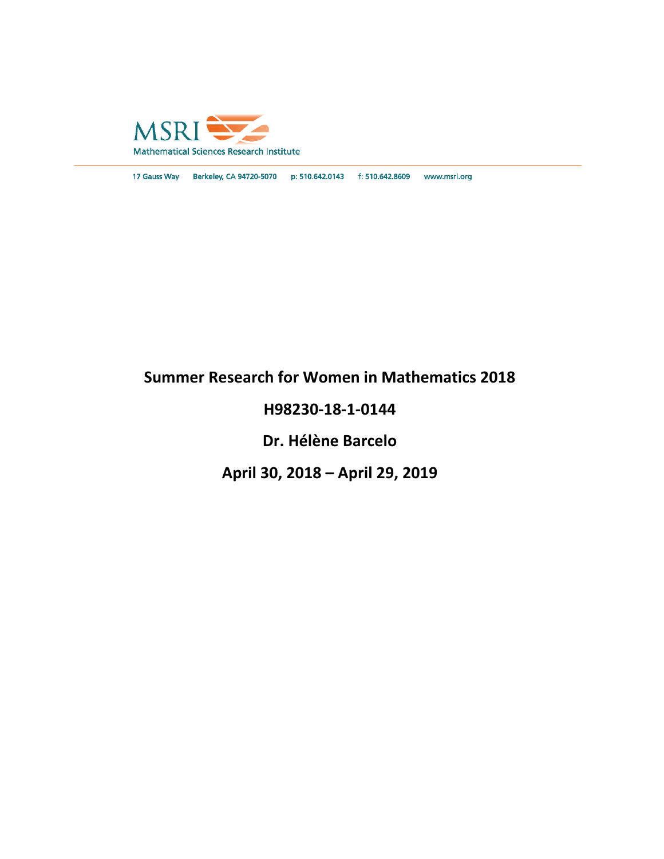

17 Gauss Way Berkeley, CA 94720-5070 p: 510.642.0143 f: 510.642.8609 www.msri.org

# **Summer Research for Women in Mathematics 2018**

# **H98230-18-1-0144**

# **Dr. Hélène Barcelo**

# **April 30, 2018 – April 29, 2019**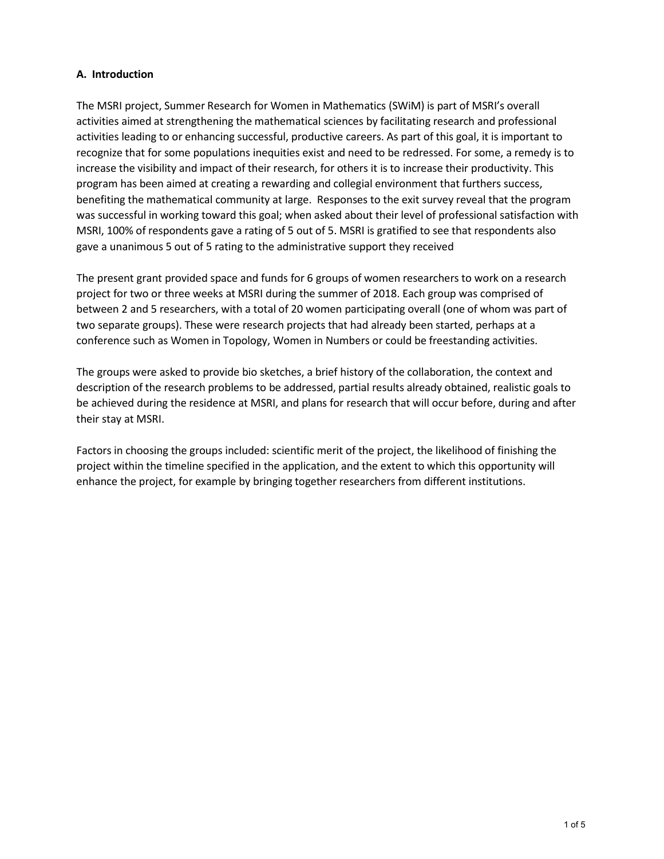#### **A. Introduction**

The MSRI project, Summer Research for Women in Mathematics (SWiM) is part of MSRI's overall activities aimed at strengthening the mathematical sciences by facilitating research and professional activities leading to or enhancing successful, productive careers. As part of this goal, it is important to recognize that for some populations inequities exist and need to be redressed. For some, a remedy is to increase the visibility and impact of their research, for others it is to increase their productivity. This program has been aimed at creating a rewarding and collegial environment that furthers success, benefiting the mathematical community at large. Responses to the exit survey reveal that the program was successful in working toward this goal; when asked about their level of professional satisfaction with MSRI, 100% of respondents gave a rating of 5 out of 5. MSRI is gratified to see that respondents also gave a unanimous 5 out of 5 rating to the administrative support they received

The present grant provided space and funds for 6 groups of women researchers to work on a research project for two or three weeks at MSRI during the summer of 2018. Each group was comprised of between 2 and 5 researchers, with a total of 20 women participating overall (one of whom was part of two separate groups). These were research projects that had already been started, perhaps at a conference such as Women in Topology, Women in Numbers or could be freestanding activities.

The groups were asked to provide bio sketches, a brief history of the collaboration, the context and description of the research problems to be addressed, partial results already obtained, realistic goals to be achieved during the residence at MSRI, and plans for research that will occur before, during and after their stay at MSRI.

Factors in choosing the groups included: scientific merit of the project, the likelihood of finishing the project within the timeline specified in the application, and the extent to which this opportunity will enhance the project, for example by bringing together researchers from different institutions.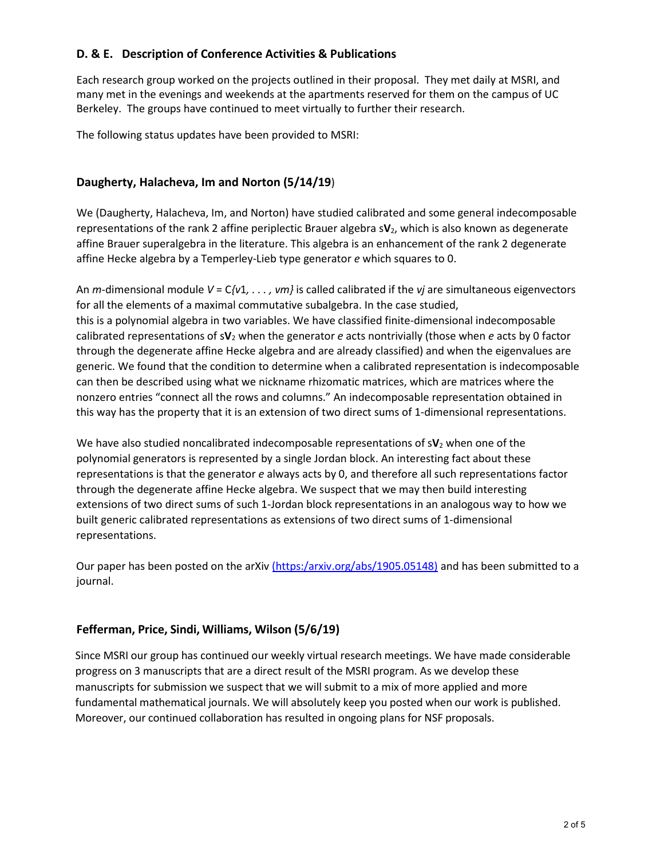### **D. & E. Description of Conference Activities & Publications**

Each research group worked on the projects outlined in their proposal. They met daily at MSRI, and many met in the evenings and weekends at the apartments reserved for them on the campus of UC Berkeley. The groups have continued to meet virtually to further their research.

The following status updates have been provided to MSRI:

## **Daugherty, Halacheva, Im and Norton (5/14/19**)

We (Daugherty, Halacheva, Im, and Norton) have studied calibrated and some general indecomposable representations of the rank 2 affine periplectic Brauer algebra s**V**2, which is also known as degenerate affine Brauer superalgebra in the literature. This algebra is an enhancement of the rank 2 degenerate affine Hecke algebra by a Temperley-Lieb type generator *e* which squares to 0.

An *m*-dimensional module *V* = C*{v*1*, . . . , vm}* is called calibrated if the *vj* are simultaneous eigenvectors for all the elements of a maximal commutative subalgebra. In the case studied, this is a polynomial algebra in two variables. We have classified finite-dimensional indecomposable calibrated representations of s**V**<sup>2</sup> when the generator *e* acts nontrivially (those when *e* acts by 0 factor through the degenerate affine Hecke algebra and are already classified) and when the eigenvalues are generic. We found that the condition to determine when a calibrated representation is indecomposable can then be described using what we nickname rhizomatic matrices, which are matrices where the nonzero entries "connect all the rows and columns." An indecomposable representation obtained in this way has the property that it is an extension of two direct sums of 1-dimensional representations.

We have also studied noncalibrated indecomposable representations of sV<sub>2</sub> when one of the polynomial generators is represented by a single Jordan block. An interesting fact about these representations is that the generator *e* always acts by 0, and therefore all such representations factor through the degenerate affine Hecke algebra. We suspect that we may then build interesting extensions of two direct sums of such 1-Jordan block representations in an analogous way to how we built generic calibrated representations as extensions of two direct sums of 1-dimensional representations.

Our paper has been posted on the arXiv (https:/arxiv.org/abs/1905.05148) and has been submitted to a journal.

## **Fefferman, Price, Sindi, Williams, Wilson (5/6/19)**

Since MSRI our group has continued our weekly virtual research meetings. We have made considerable progress on 3 manuscripts that are a direct result of the MSRI program. As we develop these manuscripts for submission we suspect that we will submit to a mix of more applied and more fundamental mathematical journals. We will absolutely keep you posted when our work is published. Moreover, our continued collaboration has resulted in ongoing plans for NSF proposals.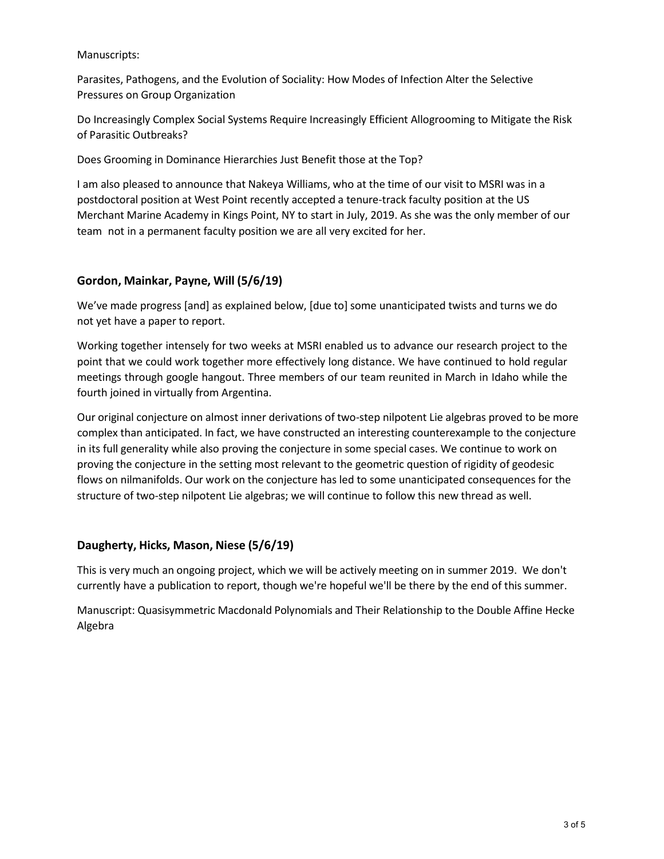#### Manuscripts:

Parasites, Pathogens, and the Evolution of Sociality: How Modes of Infection Alter the Selective Pressures on Group Organization

Do Increasingly Complex Social Systems Require Increasingly Efficient Allogrooming to Mitigate the Risk of Parasitic Outbreaks?

Does Grooming in Dominance Hierarchies Just Benefit those at the Top?

I am also pleased to announce that Nakeya Williams, who at the time of our visit to MSRI was in a postdoctoral position at West Point recently accepted a tenure-track faculty position at the US Merchant Marine Academy in Kings Point, NY to start in July, 2019. As she was the only member of our team not in a permanent faculty position we are all very excited for her.

### **Gordon, Mainkar, Payne, Will (5/6/19)**

We've made progress [and] as explained below, [due to] some unanticipated twists and turns we do not yet have a paper to report.

Working together intensely for two weeks at MSRI enabled us to advance our research project to the point that we could work together more effectively long distance. We have continued to hold regular meetings through google hangout. Three members of our team reunited in March in Idaho while the fourth joined in virtually from Argentina.

Our original conjecture on almost inner derivations of two-step nilpotent Lie algebras proved to be more complex than anticipated. In fact, we have constructed an interesting counterexample to the conjecture in its full generality while also proving the conjecture in some special cases. We continue to work on proving the conjecture in the setting most relevant to the geometric question of rigidity of geodesic flows on nilmanifolds. Our work on the conjecture has led to some unanticipated consequences for the structure of two-step nilpotent Lie algebras; we will continue to follow this new thread as well.

#### **Daugherty, Hicks, Mason, Niese (5/6/19)**

This is very much an ongoing project, which we will be actively meeting on in summer 2019. We don't currently have a publication to report, though we're hopeful we'll be there by the end of this summer.

Manuscript: Quasisymmetric Macdonald Polynomials and Their Relationship to the Double Affine Hecke Algebra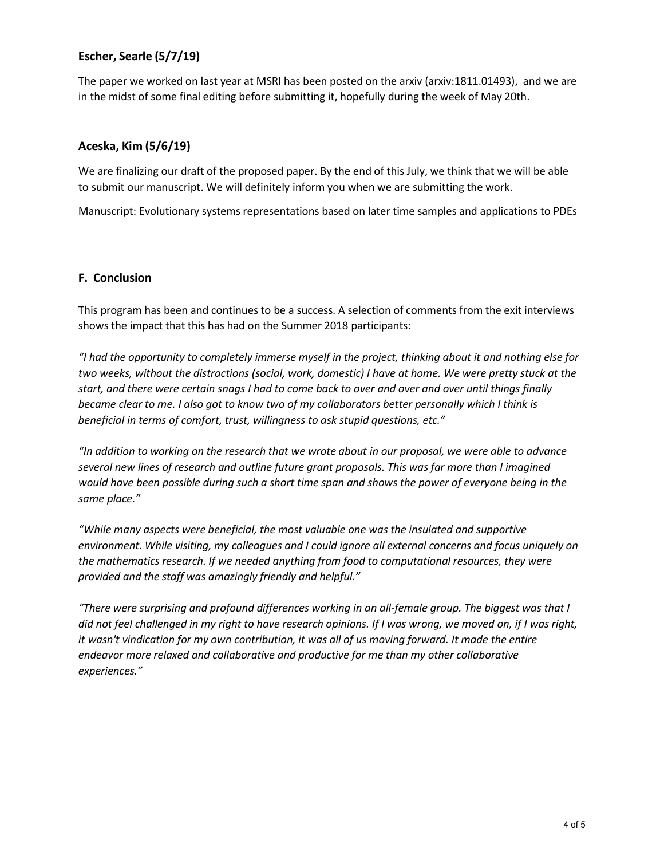## **Escher, Searle (5/7/19)**

The paper we worked on last year at MSRI has been posted on the arxiv (arxiv:1811.01493), and we are in the midst of some final editing before submitting it, hopefully during the week of May 20th.

### **Aceska, Kim (5/6/19)**

We are finalizing our draft of the proposed paper. By the end of this July, we think that we will be able to submit our manuscript. We will definitely inform you when we are submitting the work.

Manuscript: Evolutionary systems representations based on later time samples and applications to PDEs

#### **F. Conclusion**

This program has been and continues to be a success. A selection of comments from the exit interviews shows the impact that this has had on the Summer 2018 participants:

*"I had the opportunity to completely immerse myself in the project, thinking about it and nothing else for two weeks, without the distractions (social, work, domestic) I have at home. We were pretty stuck at the start, and there were certain snags I had to come back to over and over and over until things finally became clear to me. I also got to know two of my collaborators better personally which I think is beneficial in terms of comfort, trust, willingness to ask stupid questions, etc."*

*"In addition to working on the research that we wrote about in our proposal, we were able to advance several new lines of research and outline future grant proposals. This was far more than I imagined would have been possible during such a short time span and shows the power of everyone being in the same place."*

*"While many aspects were beneficial, the most valuable one was the insulated and supportive environment. While visiting, my colleagues and I could ignore all external concerns and focus uniquely on the mathematics research. If we needed anything from food to computational resources, they were provided and the staff was amazingly friendly and helpful."*

*"There were surprising and profound differences working in an all-female group. The biggest was that I did not feel challenged in my right to have research opinions. If I was wrong, we moved on, if I was right, it wasn't vindication for my own contribution, it was all of us moving forward. It made the entire endeavor more relaxed and collaborative and productive for me than my other collaborative experiences."*